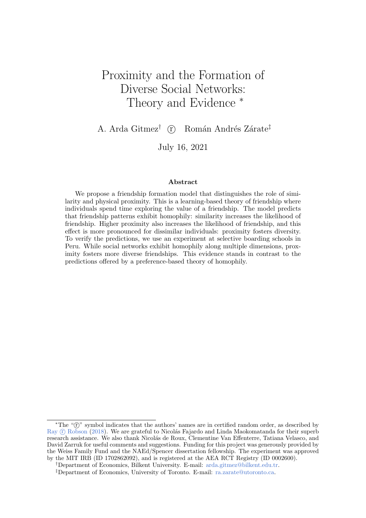# Proximity and the Formation of Diverse Social Networks: Theory and Evidence  $*$

A. Arda Gitmez<sup>†</sup>  $\odot$  Román Andrés Zárate<sup>‡</sup>

July 16, 2021

#### Abstract

We propose a friendship formation model that distinguishes the role of similarity and physical proximity. This is a learning-based theory of friendship where individuals spend time exploring the value of a friendship. The model predicts that friendship patterns exhibit homophily: similarity increases the likelihood of friendship. Higher proximity also increases the likelihood of friendship, and this effect is more pronounced for dissimilar individuals: proximity fosters diversity. To verify the predictions, we use an experiment at selective boarding schools in Peru. While social networks exhibit homophily along multiple dimensions, proximity fosters more diverse friendships. This evidence stands in contrast to the predictions offered by a preference-based theory of homophily.

<sup>\*</sup>The "(r)" symbol indicates that the authors' names are in certified random order, as described by Ray (f) [Robson](#page-24-0) [\(2018\)](#page-24-0). We are grateful to Nicolás Fajardo and Linda Maokomatanda for their superb research assistance. We also thank Nicolás de Roux, Clementine Van Effenterre, Tatiana Velasco, and David Zarruk for useful comments and suggestions. Funding for this project was generously provided by the Weiss Family Fund and the NAEd/Spencer dissertation fellowship. The experiment was approved by the MIT IRB (ID 1702862092), and is registered at the AEA RCT Registry (ID 0002600).

<sup>†</sup>Department of Economics, Bilkent University. E-mail: [arda.gitmez@bilkent.edu.tr.](mailto:arda.gitmez@bilkent.edu.tr)

<sup>‡</sup>Department of Economics, University of Toronto. E-mail: [ra.zarate@utoronto.ca.](mailto:ra.zarate@utoronto.ca)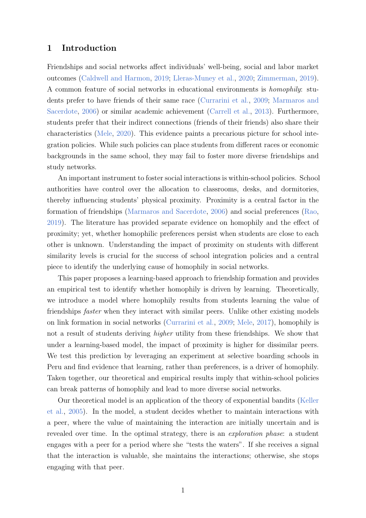#### 1 Introduction

Friendships and social networks affect individuals' well-being, social and labor market outcomes [\(Caldwell and Harmon,](#page-23-0) [2019;](#page-23-0) [Lleras-Muney et al.,](#page-24-1) [2020;](#page-24-1) [Zimmerman,](#page-24-2) [2019\)](#page-24-2). A common feature of social networks in educational environments is homophily: students prefer to have friends of their same race [\(Currarini et al.,](#page-23-1) [2009;](#page-23-1) [Marmaros and](#page-24-3) [Sacerdote,](#page-24-3) [2006\)](#page-24-3) or similar academic achievement [\(Carrell et al.,](#page-23-2) [2013\)](#page-23-2). Furthermore, students prefer that their indirect connections (friends of their friends) also share their characteristics [\(Mele,](#page-24-4) [2020\)](#page-24-4). This evidence paints a precarious picture for school integration policies. While such policies can place students from different races or economic backgrounds in the same school, they may fail to foster more diverse friendships and study networks.

An important instrument to foster social interactions is within-school policies. School authorities have control over the allocation to classrooms, desks, and dormitories, thereby influencing students' physical proximity. Proximity is a central factor in the formation of friendships [\(Marmaros and Sacerdote,](#page-24-3) [2006\)](#page-24-3) and social preferences [\(Rao,](#page-24-5) [2019\)](#page-24-5). The literature has provided separate evidence on homophily and the effect of proximity; yet, whether homophilic preferences persist when students are close to each other is unknown. Understanding the impact of proximity on students with different similarity levels is crucial for the success of school integration policies and a central piece to identify the underlying cause of homophily in social networks.

This paper proposes a learning-based approach to friendship formation and provides an empirical test to identify whether homophily is driven by learning. Theoretically, we introduce a model where homophily results from students learning the value of friendships faster when they interact with similar peers. Unlike other existing models on link formation in social networks [\(Currarini et al.,](#page-23-1) [2009;](#page-23-1) [Mele,](#page-24-6) [2017\)](#page-24-6), homophily is not a result of students deriving higher utility from these friendships. We show that under a learning-based model, the impact of proximity is higher for dissimilar peers. We test this prediction by leveraging an experiment at selective boarding schools in Peru and find evidence that learning, rather than preferences, is a driver of homophily. Taken together, our theoretical and empirical results imply that within-school policies can break patterns of homophily and lead to more diverse social networks.

Our theoretical model is an application of the theory of exponential bandits [\(Keller](#page-23-3) [et al.,](#page-23-3) [2005\)](#page-23-3). In the model, a student decides whether to maintain interactions with a peer, where the value of maintaining the interaction are initially uncertain and is revealed over time. In the optimal strategy, there is an *exploration phase*: a student engages with a peer for a period where she "tests the waters". If she receives a signal that the interaction is valuable, she maintains the interactions; otherwise, she stops engaging with that peer.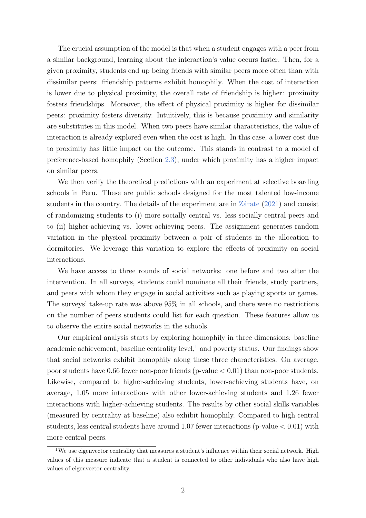The crucial assumption of the model is that when a student engages with a peer from a similar background, learning about the interaction's value occurs faster. Then, for a given proximity, students end up being friends with similar peers more often than with dissimilar peers: friendship patterns exhibit homophily. When the cost of interaction is lower due to physical proximity, the overall rate of friendship is higher: proximity fosters friendships. Moreover, the effect of physical proximity is higher for dissimilar peers: proximity fosters diversity. Intuitively, this is because proximity and similarity are substitutes in this model. When two peers have similar characteristics, the value of interaction is already explored even when the cost is high. In this case, a lower cost due to proximity has little impact on the outcome. This stands in contrast to a model of preference-based homophily (Section [2.3\)](#page-9-0), under which proximity has a higher impact on similar peers.

We then verify the theoretical predictions with an experiment at selective boarding schools in Peru. These are public schools designed for the most talented low-income students in the country. The details of the experiment are in  $Z\acute{a}$ rate [\(2021\)](#page-25-0) and consist of randomizing students to (i) more socially central vs. less socially central peers and to (ii) higher-achieving vs. lower-achieving peers. The assignment generates random variation in the physical proximity between a pair of students in the allocation to dormitories. We leverage this variation to explore the effects of proximity on social interactions.

We have access to three rounds of social networks: one before and two after the intervention. In all surveys, students could nominate all their friends, study partners, and peers with whom they engage in social activities such as playing sports or games. The surveys' take-up rate was above 95% in all schools, and there were no restrictions on the number of peers students could list for each question. These features allow us to observe the entire social networks in the schools.

Our empirical analysis starts by exploring homophily in three dimensions: baseline academic achievement, baseline centrality level, $<sup>1</sup>$  $<sup>1</sup>$  $<sup>1</sup>$  and poverty status. Our findings show</sup> that social networks exhibit homophily along these three characteristics. On average, poor students have 0.66 fewer non-poor friends (p-value  $< 0.01$ ) than non-poor students. Likewise, compared to higher-achieving students, lower-achieving students have, on average, 1.05 more interactions with other lower-achieving students and 1.26 fewer interactions with higher-achieving students. The results by other social skills variables (measured by centrality at baseline) also exhibit homophily. Compared to high central students, less central students have around 1.07 fewer interactions (p-value  $< 0.01$ ) with more central peers.

<span id="page-2-0"></span><sup>&</sup>lt;sup>1</sup>We use eigenvector centrality that measures a student's influence within their social network. High values of this measure indicate that a student is connected to other individuals who also have high values of eigenvector centrality.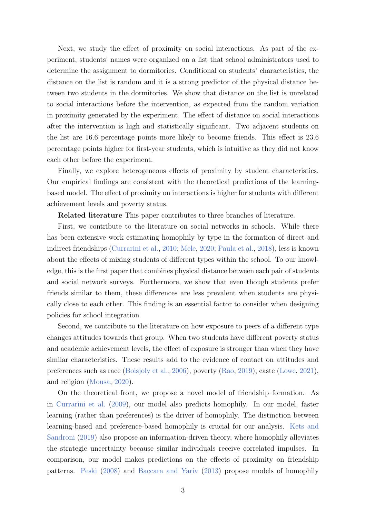Next, we study the effect of proximity on social interactions. As part of the experiment, students' names were organized on a list that school administrators used to determine the assignment to dormitories. Conditional on students' characteristics, the distance on the list is random and it is a strong predictor of the physical distance between two students in the dormitories. We show that distance on the list is unrelated to social interactions before the intervention, as expected from the random variation in proximity generated by the experiment. The effect of distance on social interactions after the intervention is high and statistically significant. Two adjacent students on the list are 16.6 percentage points more likely to become friends. This effect is 23.6 percentage points higher for first-year students, which is intuitive as they did not know each other before the experiment.

Finally, we explore heterogeneous effects of proximity by student characteristics. Our empirical findings are consistent with the theoretical predictions of the learningbased model. The effect of proximity on interactions is higher for students with different achievement levels and poverty status.

#### Related literature This paper contributes to three branches of literature.

First, we contribute to the literature on social networks in schools. While there has been extensive work estimating homophily by type in the formation of direct and indirect friendships [\(Currarini et al.,](#page-23-4) [2010;](#page-23-4) [Mele,](#page-24-4) [2020;](#page-24-4) [Paula et al.,](#page-24-7) [2018\)](#page-24-7), less is known about the effects of mixing students of different types within the school. To our knowledge, this is the first paper that combines physical distance between each pair of students and social network surveys. Furthermore, we show that even though students prefer friends similar to them, these differences are less prevalent when students are physically close to each other. This finding is an essential factor to consider when designing policies for school integration.

Second, we contribute to the literature on how exposure to peers of a different type changes attitudes towards that group. When two students have different poverty status and academic achievement levels, the effect of exposure is stronger than when they have similar characteristics. These results add to the evidence of contact on attitudes and preferences such as race [\(Boisjoly et al.,](#page-23-5) [2006\)](#page-23-5), poverty [\(Rao,](#page-24-5) [2019\)](#page-24-5), caste [\(Lowe,](#page-24-8) [2021\)](#page-24-8), and religion [\(Mousa,](#page-24-9) [2020\)](#page-24-9).

On the theoretical front, we propose a novel model of friendship formation. As in [Currarini et al.](#page-23-1) [\(2009\)](#page-23-1), our model also predicts homophily. In our model, faster learning (rather than preferences) is the driver of homophily. The distinction between learning-based and preference-based homophily is crucial for our analysis. [Kets and](#page-23-6) [Sandroni](#page-23-6) [\(2019\)](#page-23-6) also propose an information-driven theory, where homophily alleviates the strategic uncertainty because similar individuals receive correlated impulses. In comparison, our model makes predictions on the effects of proximity on friendship patterns. [Peski](#page-24-10) [\(2008\)](#page-24-10) and [Baccara and Yariv](#page-23-7) [\(2013\)](#page-23-7) propose models of homophily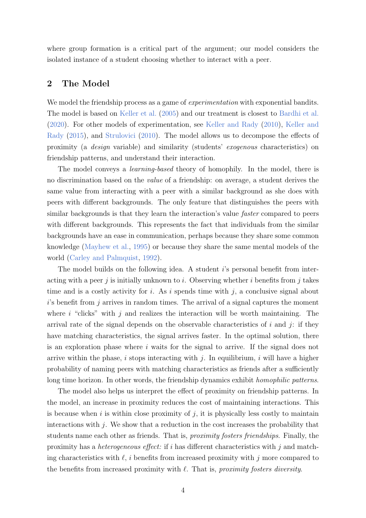where group formation is a critical part of the argument; our model considers the isolated instance of a student choosing whether to interact with a peer.

#### 2 The Model

We model the friendship process as a game of *experimentation* with exponential bandits. The model is based on [Keller et al.](#page-23-3) [\(2005\)](#page-23-3) and our treatment is closest to [Bardhi et al.](#page-23-8) [\(2020\)](#page-23-8). For other models of experimentation, see [Keller and Rady](#page-23-9) [\(2010\)](#page-23-9), [Keller and](#page-23-10) [Rady](#page-23-10) [\(2015\)](#page-23-10), and [Strulovici](#page-24-11) [\(2010\)](#page-24-11). The model allows us to decompose the effects of proximity (a design variable) and similarity (students' exogenous characteristics) on friendship patterns, and understand their interaction.

The model conveys a learning-based theory of homophily. In the model, there is no discrimination based on the value of a friendship: on average, a student derives the same value from interacting with a peer with a similar background as she does with peers with different backgrounds. The only feature that distinguishes the peers with similar backgrounds is that they learn the interaction's value *faster* compared to peers with different backgrounds. This represents the fact that individuals from the similar backgrounds have an ease in communication, perhaps because they share some common knowledge [\(Mayhew et al.,](#page-24-12) [1995\)](#page-24-12) or because they share the same mental models of the world [\(Carley and Palmquist,](#page-23-11) [1992\)](#page-23-11).

The model builds on the following idea. A student i's personal benefit from interacting with a peer j is initially unknown to i. Observing whether i benefits from j takes time and is a costly activity for i. As i spends time with j, a conclusive signal about  $i$ 's benefit from j arrives in random times. The arrival of a signal captures the moment where  $i$  "clicks" with  $j$  and realizes the interaction will be worth maintaining. The arrival rate of the signal depends on the observable characteristics of i and j: if they have matching characteristics, the signal arrives faster. In the optimal solution, there is an exploration phase where i waits for the signal to arrive. If the signal does not arrive within the phase,  $i$  stops interacting with  $j$ . In equilibrium,  $i$  will have a higher probability of naming peers with matching characteristics as friends after a sufficiently long time horizon. In other words, the friendship dynamics exhibit *homophilic patterns*.

The model also helps us interpret the effect of proximity on friendship patterns. In the model, an increase in proximity reduces the cost of maintaining interactions. This is because when i is within close proximity of j, it is physically less costly to maintain interactions with  $j$ . We show that a reduction in the cost increases the probability that students name each other as friends. That is, proximity fosters friendships. Finally, the proximity has a *heterogeneous effect*: if i has different characteristics with j and matching characteristics with  $\ell$ , i benefits from increased proximity with j more compared to the benefits from increased proximity with  $\ell$ . That is, *proximity fosters diversity*.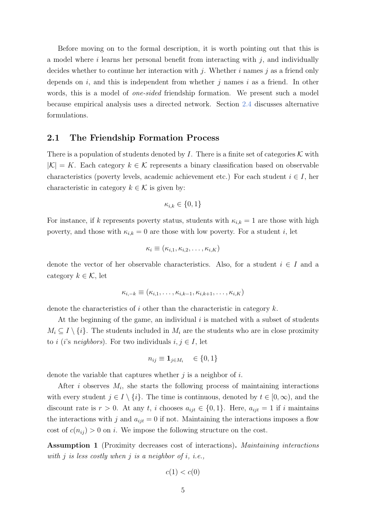Before moving on to the formal description, it is worth pointing out that this is a model where i learns her personal benefit from interacting with  $j$ , and individually decides whether to continue her interaction with j. Whether i names j as a friend only depends on i, and this is independent from whether j names i as a friend. In other words, this is a model of *one-sided* friendship formation. We present such a model because empirical analysis uses a directed network. Section [2.4](#page-10-0) discusses alternative formulations.

#### 2.1 The Friendship Formation Process

There is a population of students denoted by I. There is a finite set of categories  $\mathcal K$  with  $|K| = K$ . Each category  $k \in \mathcal{K}$  represents a binary classification based on observable characteristics (poverty levels, academic achievement etc.) For each student  $i \in I$ , her characteristic in category  $k \in \mathcal{K}$  is given by:

$$
\kappa_{i,k} \in \{0, 1\}
$$

For instance, if k represents poverty status, students with  $\kappa_{i,k} = 1$  are those with high poverty, and those with  $\kappa_{i,k} = 0$  are those with low poverty. For a student i, let

$$
\kappa_i \equiv (\kappa_{i,1}, \kappa_{i,2}, \ldots, \kappa_{i,K})
$$

denote the vector of her observable characteristics. Also, for a student  $i \in I$  and a category  $k \in \mathcal{K}$ , let

$$
\kappa_{i,-k} \equiv (\kappa_{i,1},\ldots,\kappa_{i,k-1},\kappa_{i,k+1},\ldots,\kappa_{i,K})
$$

denote the characteristics of i other than the characteristic in category  $k$ .

At the beginning of the game, an individual  $i$  is matched with a subset of students  $M_i \subseteq I \setminus \{i\}.$  The students included in  $M_i$  are the students who are in close proximity to i (i's neighbors). For two individuals  $i, j \in I$ , let

$$
n_{ij} \equiv \mathbf{1}_{j \in M_i} \quad \in \{0, 1\}
$$

denote the variable that captures whether  $j$  is a neighbor of  $i$ .

After i observes  $M_i$ , she starts the following process of maintaining interactions with every student  $j \in I \setminus \{i\}$ . The time is continuous, denoted by  $t \in [0, \infty)$ , and the discount rate is  $r > 0$ . At any t, i chooses  $a_{ijt} \in \{0, 1\}$ . Here,  $a_{ijt} = 1$  if i maintains the interactions with j and  $a_{ijt} = 0$  if not. Maintaining the interactions imposes a flow cost of  $c(n_{ij}) > 0$  on i. We impose the following structure on the cost.

<span id="page-5-0"></span>Assumption 1 (Proximity decreases cost of interactions). Maintaining interactions with  $j$  is less costly when  $j$  is a neighbor of  $i$ , i.e.,

$$
c(1) < c(0)
$$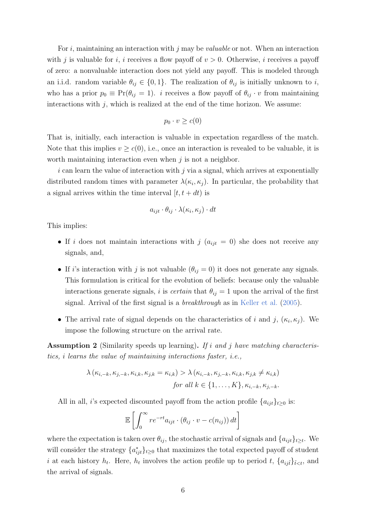For i, maintaining an interaction with j may be *valuable* or not. When an interaction with j is valuable for i, i receives a flow payoff of  $v > 0$ . Otherwise, i receives a payoff of zero: a nonvaluable interaction does not yield any payoff. This is modeled through an i.i.d. random variable  $\theta_{ij} \in \{0,1\}$ . The realization of  $\theta_{ij}$  is initially unknown to i, who has a prior  $p_0 \equiv Pr(\theta_{ij} = 1)$ . *i* receives a flow payoff of  $\theta_{ij} \cdot v$  from maintaining interactions with  $j$ , which is realized at the end of the time horizon. We assume:

$$
p_0 \cdot v \geq c(0)
$$

That is, initially, each interaction is valuable in expectation regardless of the match. Note that this implies  $v \geq c(0)$ , i.e., once an interaction is revealed to be valuable, it is worth maintaining interaction even when  $j$  is not a neighbor.

 $i$  can learn the value of interaction with  $j$  via a signal, which arrives at exponentially distributed random times with parameter  $\lambda(\kappa_i, \kappa_j)$ . In particular, the probability that a signal arrives within the time interval  $[t, t + dt)$  is

$$
a_{ijt} \cdot \theta_{ij} \cdot \lambda(\kappa_i, \kappa_j) \cdot dt
$$

This implies:

- If i does not maintain interactions with j  $(a_{ijt} = 0)$  she does not receive any signals, and,
- If i's interaction with j is not valuable  $(\theta_{ij} = 0)$  it does not generate any signals. This formulation is critical for the evolution of beliefs: because only the valuable interactions generate signals, i is *certain* that  $\theta_{ij} = 1$  upon the arrival of the first signal. Arrival of the first signal is a breakthrough as in [Keller et al.](#page-23-3) [\(2005\)](#page-23-3).
- The arrival rate of signal depends on the characteristics of i and j,  $(\kappa_i, \kappa_j)$ . We impose the following structure on the arrival rate.

<span id="page-6-0"></span>Assumption 2 (Similarity speeds up learning). If i and j have matching characteristics, i learns the value of maintaining interactions faster, i.e.,

$$
\lambda(\kappa_{i,-k}, \kappa_{j,-k}, \kappa_{i,k}, \kappa_{j,k} = \kappa_{i,k}) > \lambda(\kappa_{i,-k}, \kappa_{j,-k}, \kappa_{i,k}, \kappa_{j,k} \neq \kappa_{i,k})
$$
  
for all  $k \in \{1, ..., K\}$ ,  $\kappa_{i,-k}, \kappa_{j,-k}$ .

All in all, *i*'s expected discounted payoff from the action profile  $\{a_{ijt}\}_{t\geq0}$  is:

$$
\mathbb{E}\left[\int_0^\infty r e^{-rt} a_{ijt} \cdot (\theta_{ij} \cdot v - c(n_{ij})) dt\right]
$$

where the expectation is taken over  $\theta_{ij}$ , the stochastic arrival of signals and  $\{a_{ijt}\}_{t\geq t}$ . We will consider the strategy  $\{a_{ijt}^*\}_{t\geq 0}$  that maximizes the total expected payoff of student i at each history  $h_t$ . Here,  $h_t$  involves the action profile up to period t,  $\{a_{ij\tilde{t}}\}_{\tilde{t}, and$ the arrival of signals.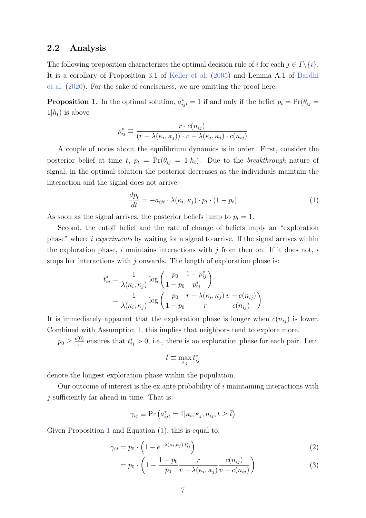### <span id="page-7-2"></span>2.2 Analysis

The following proposition characterizes the optimal decision rule of i for each  $j \in I \setminus \{i\}$ . It is a corollary of Proposition 3.1 of [Keller et al.](#page-23-3) [\(2005\)](#page-23-3) and Lemma A.1 of [Bardhi](#page-23-8) [et al.](#page-23-8) [\(2020\)](#page-23-8). For the sake of conciseness, we are omitting the proof here.

<span id="page-7-0"></span>**Proposition 1.** In the optimal solution,  $a_{ijt}^* = 1$  if and only if the belief  $p_t = \Pr(\theta_{ij} =$  $1|h_t$ ) is above

$$
p_{ij}^* \equiv \frac{r \cdot c(n_{ij})}{(r + \lambda(\kappa_i, \kappa_j)) \cdot v - \lambda(\kappa_i, \kappa_j) \cdot c(n_{ij})}
$$

A couple of notes about the equilibrium dynamics is in order. First, consider the posterior belief at time t,  $p_t = \Pr(\theta_{ij} = 1 | h_t)$ . Due to the breakthrough nature of signal, in the optimal solution the posterior decreases as the individuals maintain the interaction and the signal does not arrive:

<span id="page-7-1"></span>
$$
\frac{dp_t}{dt} = -a_{ijt} \cdot \lambda(\kappa_i, \kappa_j) \cdot p_t \cdot (1 - p_t)
$$
\n(1)

As soon as the signal arrives, the posterior beliefs jump to  $p_t = 1$ .

Second, the cutoff belief and the rate of change of beliefs imply an "exploration phase" where  $i$  experiments by waiting for a signal to arrive. If the signal arrives within the exploration phase, i maintains interactions with j from then on. If it does not, i stops her interactions with  $j$  onwards. The length of exploration phase is:

$$
t_{ij}^* = \frac{1}{\lambda(\kappa_i, \kappa_j)} \log \left( \frac{p_0}{1 - p_0} \frac{1 - p_{ij}^*}{p_{ij}^*} \right)
$$
  
= 
$$
\frac{1}{\lambda(\kappa_i, \kappa_j)} \log \left( \frac{p_0}{1 - p_0} \frac{r + \lambda(\kappa_i, \kappa_j)}{r} \frac{v - c(n_{ij})}{c(n_{ij})} \right)
$$

It is immediately apparent that the exploration phase is longer when  $c(n_{ij})$  is lower. Combined with Assumption [1,](#page-5-0) this implies that neighbors tend to explore more.

 $p_0 \geq \frac{c(0)}{v}$  $\frac{v^{(0)}}{v}$  ensures that  $t_{ij}^* > 0$ , i.e., there is an exploration phase for each pair. Let:

<span id="page-7-3"></span>
$$
\bar{t}\equiv\max_{i,j}t_{ij}^*
$$

denote the longest exploration phase within the population.

Our outcome of interest is the ex ante probability of  $i$  maintaining interactions with  $j$  sufficiently far ahead in time. That is:

$$
\gamma_{ij} \equiv \Pr\left(a^*_{ijt} = 1 | \kappa_i, \kappa_j, n_{ij}, t \geq \bar{t}\right)
$$

Given Proposition [1](#page-7-0) and Equation  $(1)$ , this is equal to:

$$
\gamma_{ij} = p_0 \cdot \left( 1 - e^{-\lambda(\kappa_i, \kappa_j) \cdot t_{ij}^*} \right) \tag{2}
$$

$$
= p_0 \cdot \left(1 - \frac{1 - p_0}{p_0} \frac{r}{r + \lambda(\kappa_i, \kappa_j)} \frac{c(n_{ij})}{v - c(n_{ij})}\right)
$$
(3)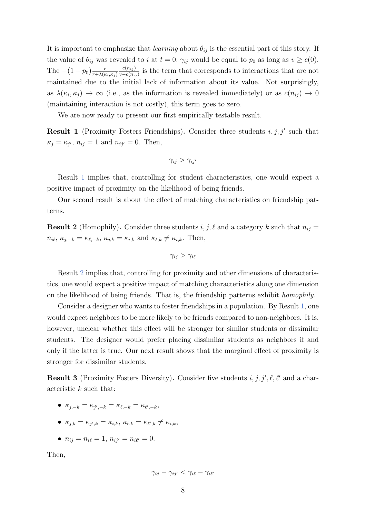It is important to emphasize that *learning* about  $\theta_{ij}$  is the essential part of this story. If the value of  $\theta_{ij}$  was revealed to i at  $t = 0$ ,  $\gamma_{ij}$  would be equal to  $p_0$  as long as  $v \ge c(0)$ . The  $-(1-p_0)\frac{r}{r+\lambda(r_0)}$  $r+\lambda(\kappa_i,\kappa_j)$  $c(n_{ij})$  $\frac{c(n_{ij})}{v-c(n_{ij})}$  is the term that corresponds to interactions that are not maintained due to the initial lack of information about its value. Not surprisingly, as  $\lambda(\kappa_i, \kappa_j) \to \infty$  (i.e., as the information is revealed immediately) or as  $c(n_{ij}) \to 0$ (maintaining interaction is not costly), this term goes to zero.

We are now ready to present our first empirically testable result.

<span id="page-8-0"></span>**Result 1** (Proximity Fosters Friendships). Consider three students  $i, j, j'$  such that  $\kappa_j = \kappa_{j'}, n_{ij} = 1$  and  $n_{ij'} = 0$ . Then,

$$
\gamma_{ij} > \gamma_{ij'}
$$

Result [1](#page-8-0) implies that, controlling for student characteristics, one would expect a positive impact of proximity on the likelihood of being friends.

Our second result is about the effect of matching characteristics on friendship patterns.

<span id="page-8-1"></span>**Result 2** (Homophily). Consider three students i, j,  $\ell$  and a category k such that  $n_{ij} =$  $n_{i\ell}, \kappa_{j,-k} = \kappa_{\ell,-k}, \kappa_{j,k} = \kappa_{i,k} \text{ and } \kappa_{\ell,k} \neq \kappa_{i,k}. \text{ Then,}$ 

$$
\gamma_{ij} > \gamma_{i\ell}
$$

Result [2](#page-8-1) implies that, controlling for proximity and other dimensions of characteristics, one would expect a positive impact of matching characteristics along one dimension on the likelihood of being friends. That is, the friendship patterns exhibit homophily.

Consider a designer who wants to foster friendships in a population. By Result [1,](#page-8-0) one would expect neighbors to be more likely to be friends compared to non-neighbors. It is, however, unclear whether this effect will be stronger for similar students or dissimilar students. The designer would prefer placing dissimilar students as neighbors if and only if the latter is true. Our next result shows that the marginal effect of proximity is stronger for dissimilar students.

<span id="page-8-2"></span>**Result 3** (Proximity Fosters Diversity). Consider five students  $i, j, j', \ell, \ell'$  and a characteristic k such that:

- $\kappa_{j,-k} = \kappa_{j',-k} = \kappa_{\ell,-k} = \kappa_{\ell',-k},$
- $\kappa_{j,k} = \kappa_{j',k} = \kappa_{i,k}, \ \kappa_{\ell,k} = \kappa_{\ell',k} \neq \kappa_{i,k},$
- $n_{ij} = n_{i\ell} = 1, n_{ij'} = n_{i\ell'} = 0.$

Then,

$$
\gamma_{ij} - \gamma_{ij'} < \gamma_{i\ell} - \gamma_{i\ell'}
$$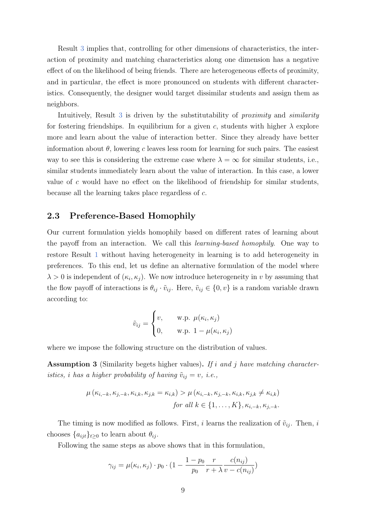Result [3](#page-8-2) implies that, controlling for other dimensions of characteristics, the interaction of proximity and matching characteristics along one dimension has a negative effect of on the likelihood of being friends. There are heterogeneous effects of proximity, and in particular, the effect is more pronounced on students with different characteristics. Consequently, the designer would target dissimilar students and assign them as neighbors.

Intuitively, Result [3](#page-8-2) is driven by the substitutability of *proximity* and *similarity* for fostering friendships. In equilibrium for a given c, students with higher  $\lambda$  explore more and learn about the value of interaction better. Since they already have better information about  $\theta$ , lowering c leaves less room for learning for such pairs. The easiest way to see this is considering the extreme case where  $\lambda = \infty$  for similar students, i.e., similar students immediately learn about the value of interaction. In this case, a lower value of c would have no effect on the likelihood of friendship for similar students, because all the learning takes place regardless of c.

#### <span id="page-9-0"></span>2.3 Preference-Based Homophily

Our current formulation yields homophily based on different rates of learning about the payoff from an interaction. We call this learning-based homophily. One way to restore Result [1](#page-8-0) without having heterogeneity in learning is to add heterogeneity in preferences. To this end, let us define an alternative formulation of the model where  $\lambda > 0$  is independent of  $(\kappa_i, \kappa_j)$ . We now introduce heterogeneity in v by assuming that the flow payoff of interactions is  $\theta_{ij} \cdot \tilde{v}_{ij}$ . Here,  $\tilde{v}_{ij} \in \{0, v\}$  is a random variable drawn according to:

$$
\tilde{v}_{ij} = \begin{cases} v, & \text{w.p. } \mu(\kappa_i, \kappa_j) \\ 0, & \text{w.p. } 1 - \mu(\kappa_i, \kappa_j) \end{cases}
$$

where we impose the following structure on the distribution of values.

<span id="page-9-1"></span>**Assumption 3** (Similarity begets higher values). If i and j have matching characteristics, i has a higher probability of having  $\tilde{v}_{ij} = v$ , i.e.,

$$
\mu(\kappa_{i,-k}, \kappa_{j,-k}, \kappa_{i,k}, \kappa_{j,k} = \kappa_{i,k}) > \mu(\kappa_{i,-k}, \kappa_{j,-k}, \kappa_{i,k}, \kappa_{j,k} \neq \kappa_{i,k})
$$
  
for all  $k \in \{1, ..., K\}$ ,  $\kappa_{i,-k}, \kappa_{j,-k}$ .

The timing is now modified as follows. First, i learns the realization of  $\tilde{v}_{ij}$ . Then, i chooses  $\{a_{ijt}\}_{t\geq0}$  to learn about  $\theta_{ij}$ .

Following the same steps as above shows that in this formulation,

$$
\gamma_{ij} = \mu(\kappa_i, \kappa_j) \cdot p_0 \cdot (1 - \frac{1 - p_0}{p_0} \frac{r}{r + \lambda} \frac{c(n_{ij})}{v - c(n_{ij})})
$$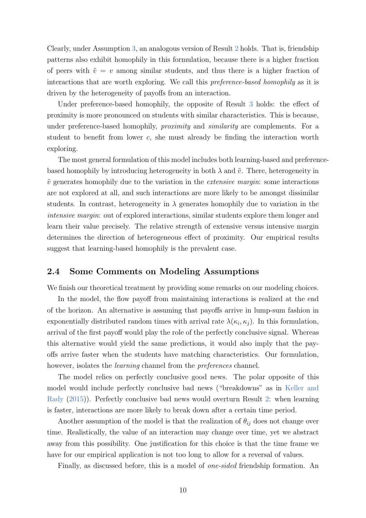Clearly, under Assumption [3,](#page-9-1) an analogous version of Result [2](#page-8-1) holds. That is, friendship patterns also exhibit homophily in this formulation, because there is a higher fraction of peers with  $\tilde{v} = v$  among similar students, and thus there is a higher fraction of interactions that are worth exploring. We call this preference-based homophily as it is driven by the heterogeneity of payoffs from an interaction.

Under preference-based homophily, the opposite of Result [3](#page-8-2) holds: the effect of proximity is more pronounced on students with similar characteristics. This is because, under preference-based homophily, *proximity* and *similarity* are complements. For a student to benefit from lower  $c$ , she must already be finding the interaction worth exploring.

The most general formulation of this model includes both learning-based and preferencebased homophily by introducing heterogeneity in both  $\lambda$  and  $\tilde{v}$ . There, heterogeneity in  $\tilde{v}$  generates homophily due to the variation in the *extensive margin*: some interactions are not explored at all, and such interactions are more likely to be amongst dissimilar students. In contrast, heterogeneity in  $\lambda$  generates homophily due to variation in the intensive margin: out of explored interactions, similar students explore them longer and learn their value precisely. The relative strength of extensive versus intensive margin determines the direction of heterogeneous effect of proximity. Our empirical results suggest that learning-based homophily is the prevalent case.

#### <span id="page-10-0"></span>2.4 Some Comments on Modeling Assumptions

We finish our theoretical treatment by providing some remarks on our modeling choices.

In the model, the flow payoff from maintaining interactions is realized at the end of the horizon. An alternative is assuming that payoffs arrive in lump-sum fashion in exponentially distributed random times with arrival rate  $\lambda(\kappa_i, \kappa_j)$ . In this formulation, arrival of the first payoff would play the role of the perfectly conclusive signal. Whereas this alternative would yield the same predictions, it would also imply that the payoffs arrive faster when the students have matching characteristics. Our formulation, however, isolates the *learning* channel from the *preferences* channel.

The model relies on perfectly conclusive good news. The polar opposite of this model would include perfectly conclusive bad news ("breakdowns" as in [Keller and](#page-23-10) [Rady](#page-23-10) [\(2015\)](#page-23-10)). Perfectly conclusive bad news would overturn Result [2:](#page-8-1) when learning is faster, interactions are more likely to break down after a certain time period.

Another assumption of the model is that the realization of  $\theta_{ij}$  does not change over time. Realistically, the value of an interaction may change over time, yet we abstract away from this possibility. One justification for this choice is that the time frame we have for our empirical application is not too long to allow for a reversal of values.

Finally, as discussed before, this is a model of one-sided friendship formation. An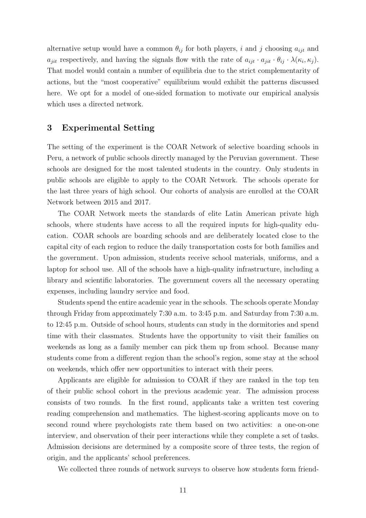alternative setup would have a common  $\theta_{ij}$  for both players, i and j choosing  $a_{ijt}$  and  $a_{jit}$  respectively, and having the signals flow with the rate of  $a_{ijt} \cdot a_{jit} \cdot \theta_{ij} \cdot \lambda(\kappa_i, \kappa_j)$ . That model would contain a number of equilibria due to the strict complementarity of actions, but the "most cooperative" equilibrium would exhibit the patterns discussed here. We opt for a model of one-sided formation to motivate our empirical analysis which uses a directed network.

#### 3 Experimental Setting

The setting of the experiment is the COAR Network of selective boarding schools in Peru, a network of public schools directly managed by the Peruvian government. These schools are designed for the most talented students in the country. Only students in public schools are eligible to apply to the COAR Network. The schools operate for the last three years of high school. Our cohorts of analysis are enrolled at the COAR Network between 2015 and 2017.

The COAR Network meets the standards of elite Latin American private high schools, where students have access to all the required inputs for high-quality education. COAR schools are boarding schools and are deliberately located close to the capital city of each region to reduce the daily transportation costs for both families and the government. Upon admission, students receive school materials, uniforms, and a laptop for school use. All of the schools have a high-quality infrastructure, including a library and scientific laboratories. The government covers all the necessary operating expenses, including laundry service and food.

Students spend the entire academic year in the schools. The schools operate Monday through Friday from approximately 7:30 a.m. to 3:45 p.m. and Saturday from 7:30 a.m. to 12:45 p.m. Outside of school hours, students can study in the dormitories and spend time with their classmates. Students have the opportunity to visit their families on weekends as long as a family member can pick them up from school. Because many students come from a different region than the school's region, some stay at the school on weekends, which offer new opportunities to interact with their peers.

Applicants are eligible for admission to COAR if they are ranked in the top ten of their public school cohort in the previous academic year. The admission process consists of two rounds. In the first round, applicants take a written test covering reading comprehension and mathematics. The highest-scoring applicants move on to second round where psychologists rate them based on two activities: a one-on-one interview, and observation of their peer interactions while they complete a set of tasks. Admission decisions are determined by a composite score of three tests, the region of origin, and the applicants' school preferences.

We collected three rounds of network surveys to observe how students form friend-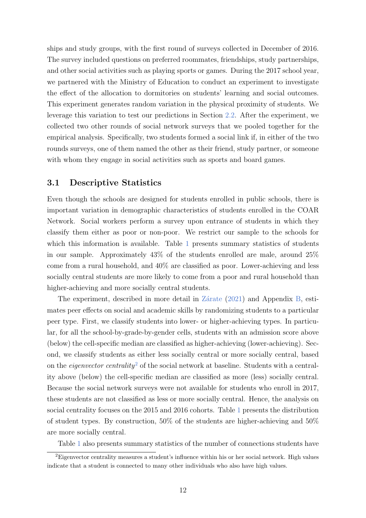ships and study groups, with the first round of surveys collected in December of 2016. The survey included questions on preferred roommates, friendships, study partnerships, and other social activities such as playing sports or games. During the 2017 school year, we partnered with the Ministry of Education to conduct an experiment to investigate the effect of the allocation to dormitories on students' learning and social outcomes. This experiment generates random variation in the physical proximity of students. We leverage this variation to test our predictions in Section [2.2.](#page-7-2) After the experiment, we collected two other rounds of social network surveys that we pooled together for the empirical analysis. Specifically, two students formed a social link if, in either of the two rounds surveys, one of them named the other as their friend, study partner, or someone with whom they engage in social activities such as sports and board games.

#### 3.1 Descriptive Statistics

Even though the schools are designed for students enrolled in public schools, there is important variation in demographic characteristics of students enrolled in the COAR Network. Social workers perform a survey upon entrance of students in which they classify them either as poor or non-poor. We restrict our sample to the schools for which this information is available. Table [1](#page-18-0) presents summary statistics of students in our sample. Approximately 43% of the students enrolled are male, around 25% come from a rural household, and 40% are classified as poor. Lower-achieving and less socially central students are more likely to come from a poor and rural household than higher-achieving and more socially central students.

The experiment, described in more detail in  $Z$ árate [\(2021\)](#page-25-0) and Appendix [B,](#page-27-0) estimates peer effects on social and academic skills by randomizing students to a particular peer type. First, we classify students into lower- or higher-achieving types. In particular, for all the school-by-grade-by-gender cells, students with an admission score above (below) the cell-specific median are classified as higher-achieving (lower-achieving). Second, we classify students as either less socially central or more socially central, based on the *eigenvector centrality*<sup>[2](#page-12-0)</sup> of the social network at baseline. Students with a centrality above (below) the cell-specific median are classified as more (less) socially central. Because the social network surveys were not available for students who enroll in 2017, these students are not classified as less or more socially central. Hence, the analysis on social centrality focuses on the 2015 and 2016 cohorts. Table [1](#page-18-0) presents the distribution of student types. By construction,  $50\%$  of the students are higher-achieving and  $50\%$ are more socially central.

<span id="page-12-0"></span>Table [1](#page-18-0) also presents summary statistics of the number of connections students have

<sup>&</sup>lt;sup>2</sup>Eigenvector centrality measures a student's influence within his or her social network. High values indicate that a student is connected to many other individuals who also have high values.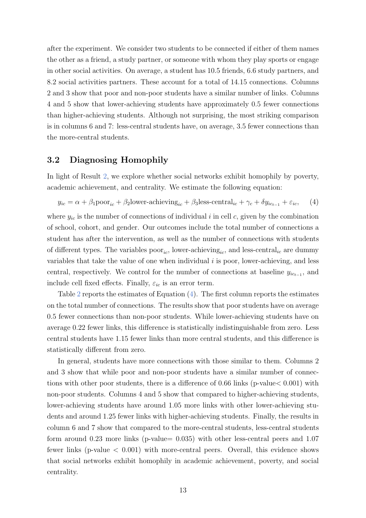after the experiment. We consider two students to be connected if either of them names the other as a friend, a study partner, or someone with whom they play sports or engage in other social activities. On average, a student has 10.5 friends, 6.6 study partners, and 8.2 social activities partners. These account for a total of 14.15 connections. Columns 2 and 3 show that poor and non-poor students have a similar number of links. Columns 4 and 5 show that lower-achieving students have approximately 0.5 fewer connections than higher-achieving students. Although not surprising, the most striking comparison is in columns 6 and 7: less-central students have, on average, 3.5 fewer connections than the more-central students.

#### 3.2 Diagnosing Homophily

In light of Result [2,](#page-8-1) we explore whether social networks exhibit homophily by poverty, academic achievement, and centrality. We estimate the following equation:

<span id="page-13-0"></span>
$$
y_{ic} = \alpha + \beta_1 \text{poor}_{ic} + \beta_2 \text{lower-achieving}_{ic} + \beta_3 \text{less-central}_{ic} + \gamma_c + \delta y_{ic_{t-1}} + \varepsilon_{ic}, \quad (4)
$$

where  $y_{ic}$  is the number of connections of individual i in cell c, given by the combination of school, cohort, and gender. Our outcomes include the total number of connections a student has after the intervention, as well as the number of connections with students of different types. The variables  $\text{poor}_{ic}$ , lower-achieving<sub>ic</sub>, and less-central<sub>ic</sub> are dummy variables that take the value of one when individual  $i$  is poor, lower-achieving, and less central, respectively. We control for the number of connections at baseline  $y_{ic_{t-1}}$ , and include cell fixed effects. Finally,  $\varepsilon_{ic}$  is an error term.

Table [2](#page-19-0) reports the estimates of Equation [\(4\)](#page-13-0). The first column reports the estimates on the total number of connections. The results show that poor students have on average 0.5 fewer connections than non-poor students. While lower-achieving students have on average 0.22 fewer links, this difference is statistically indistinguishable from zero. Less central students have 1.15 fewer links than more central students, and this difference is statistically different from zero.

In general, students have more connections with those similar to them. Columns 2 and 3 show that while poor and non-poor students have a similar number of connections with other poor students, there is a difference of 0.66 links (p-value< 0.001) with non-poor students. Columns 4 and 5 show that compared to higher-achieving students, lower-achieving students have around 1.05 more links with other lower-achieving students and around 1.25 fewer links with higher-achieving students. Finally, the results in column 6 and 7 show that compared to the more-central students, less-central students form around 0.23 more links (p-value= 0.035) with other less-central peers and 1.07 fewer links (p-value  $\lt$  0.001) with more-central peers. Overall, this evidence shows that social networks exhibit homophily in academic achievement, poverty, and social centrality.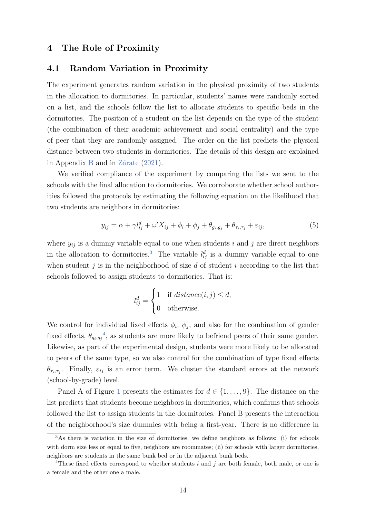#### 4 The Role of Proximity

#### 4.1 Random Variation in Proximity

The experiment generates random variation in the physical proximity of two students in the allocation to dormitories. In particular, students' names were randomly sorted on a list, and the schools follow the list to allocate students to specific beds in the dormitories. The position of a student on the list depends on the type of the student (the combination of their academic achievement and social centrality) and the type of peer that they are randomly assigned. The order on the list predicts the physical distance between two students in dormitories. The details of this design are explained in Appendix [B](#page-27-0) and in Zárate  $(2021)$ .

We verified compliance of the experiment by comparing the lists we sent to the schools with the final allocation to dormitories. We corroborate whether school authorities followed the protocols by estimating the following equation on the likelihood that two students are neighbors in dormitories:

<span id="page-14-2"></span>
$$
y_{ij} = \alpha + \gamma l_{ij}^d + \omega' X_{ij} + \phi_i + \phi_j + \theta_{g_i, g_j} + \theta_{\tau_i, \tau_j} + \varepsilon_{ij},
$$
\n
$$
\tag{5}
$$

where  $y_{ij}$  is a dummy variable equal to one when students i and j are direct neighbors in the allocation to dormitories.<sup>[3](#page-14-0)</sup> The variable  $l_{ij}^d$  is a dummy variable equal to one when student  $j$  is in the neighborhood of size  $d$  of student  $i$  according to the list that schools followed to assign students to dormitories. That is:

$$
l_{ij}^d = \begin{cases} 1 & \text{if } distance(i, j) \leq d, \\ 0 & \text{otherwise.} \end{cases}
$$

We control for individual fixed effects  $\phi_i$ ,  $\phi_j$ , and also for the combination of gender fixed effects,  $\theta_{g_i,g_j}$ <sup>[4](#page-14-1)</sup>, as students are more likely to befriend peers of their same gender. Likewise, as part of the experimental design, students were more likely to be allocated to peers of the same type, so we also control for the combination of type fixed effects  $\theta_{\tau_i,\tau_j}$ . Finally,  $\varepsilon_{ij}$  is an error term. We cluster the standard errors at the network (school-by-grade) level.

Panel A of Figure [1](#page-21-0) presents the estimates for  $d \in \{1, \ldots, 9\}$ . The distance on the list predicts that students become neighbors in dormitories, which confirms that schools followed the list to assign students in the dormitories. Panel B presents the interaction of the neighborhood's size dummies with being a first-year. There is no difference in

<span id="page-14-0"></span><sup>&</sup>lt;sup>3</sup>As there is variation in the size of dormitories, we define neighbors as follows: (i) for schools with dorm size less or equal to five, neighbors are roommates; (ii) for schools with larger dormitories, neighbors are students in the same bunk bed or in the adjacent bunk beds.

<span id="page-14-1"></span><sup>&</sup>lt;sup>4</sup>These fixed effects correspond to whether students i and j are both female, both male, or one is a female and the other one a male.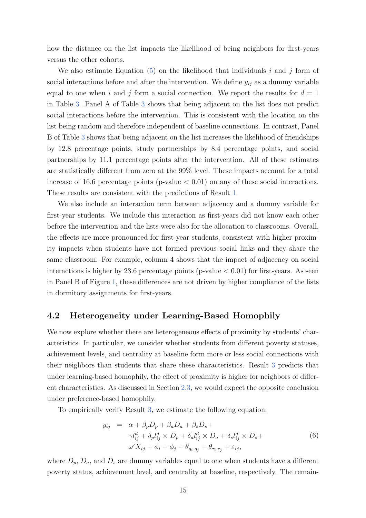how the distance on the list impacts the likelihood of being neighbors for first-years versus the other cohorts.

We also estimate Equation [\(5\)](#page-14-2) on the likelihood that individuals i and j form of social interactions before and after the intervention. We define  $y_{ij}$  as a dummy variable equal to one when i and j form a social connection. We report the results for  $d = 1$ in Table [3.](#page-20-0) Panel A of Table [3](#page-20-0) shows that being adjacent on the list does not predict social interactions before the intervention. This is consistent with the location on the list being random and therefore independent of baseline connections. In contrast, Panel B of Table [3](#page-20-0) shows that being adjacent on the list increases the likelihood of friendships by 12.8 percentage points, study partnerships by 8.4 percentage points, and social partnerships by 11.1 percentage points after the intervention. All of these estimates are statistically different from zero at the 99% level. These impacts account for a total increase of 16.6 percentage points (p-value  $< 0.01$ ) on any of these social interactions. These results are consistent with the predictions of Result [1.](#page-8-0)

We also include an interaction term between adjacency and a dummy variable for first-year students. We include this interaction as first-years did not know each other before the intervention and the lists were also for the allocation to classrooms. Overall, the effects are more pronounced for first-year students, consistent with higher proximity impacts when students have not formed previous social links and they share the same classroom. For example, column 4 shows that the impact of adjacency on social interactions is higher by 23.6 percentage points (p-value  $< 0.01$ ) for first-years. As seen in Panel B of Figure [1,](#page-21-0) these differences are not driven by higher compliance of the lists in dormitory assignments for first-years.

#### 4.2 Heterogeneity under Learning-Based Homophily

We now explore whether there are heterogeneous effects of proximity by students' characteristics. In particular, we consider whether students from different poverty statuses, achievement levels, and centrality at baseline form more or less social connections with their neighbors than students that share these characteristics. Result [3](#page-8-2) predicts that under learning-based homophily, the effect of proximity is higher for neighbors of different characteristics. As discussed in Section [2.3,](#page-9-0) we would expect the opposite conclusion under preference-based homophily.

To empirically verify Result [3,](#page-8-2) we estimate the following equation:

<span id="page-15-0"></span>
$$
y_{ij} = \alpha + \beta_p D_p + \beta_a D_a + \beta_s D_s +
$$
  
\n
$$
\gamma l_{ij}^d + \delta_p l_{ij}^d \times D_p + \delta_a l_{ij}^d \times D_a + \delta_s l_{ij}^d \times D_s +
$$
  
\n
$$
\omega' X_{ij} + \phi_i + \phi_j + \theta_{gi, gj} + \theta_{\tau_i, \tau_j} + \varepsilon_{ij},
$$
\n(6)

where  $D_p$ ,  $D_a$ , and  $D_s$  are dummy variables equal to one when students have a different poverty status, achievement level, and centrality at baseline, respectively. The remain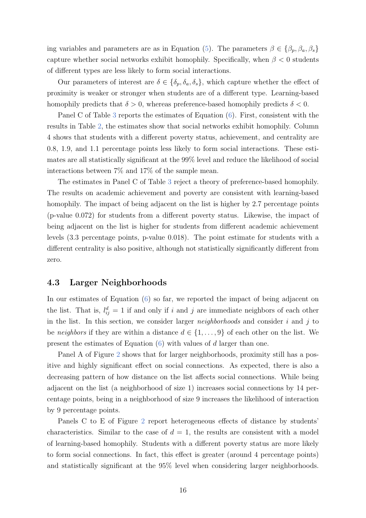ing variables and parameters are as in Equation [\(5\)](#page-14-2). The parameters  $\beta \in {\beta_p, \beta_a, \beta_s}$ capture whether social networks exhibit homophily. Specifically, when  $\beta < 0$  students of different types are less likely to form social interactions.

Our parameters of interest are  $\delta \in \{\delta_p, \delta_a, \delta_s\}$ , which capture whether the effect of proximity is weaker or stronger when students are of a different type. Learning-based homophily predicts that  $\delta > 0$ , whereas preference-based homophily predicts  $\delta < 0$ .

Panel C of Table [3](#page-20-0) reports the estimates of Equation [\(6\)](#page-15-0). First, consistent with the results in Table [2,](#page-19-0) the estimates show that social networks exhibit homophily. Column 4 shows that students with a different poverty status, achievement, and centrality are 0.8, 1.9, and 1.1 percentage points less likely to form social interactions. These estimates are all statistically significant at the 99% level and reduce the likelihood of social interactions between 7% and 17% of the sample mean.

The estimates in Panel C of Table [3](#page-20-0) reject a theory of preference-based homophily. The results on academic achievement and poverty are consistent with learning-based homophily. The impact of being adjacent on the list is higher by 2.7 percentage points (p-value 0.072) for students from a different poverty status. Likewise, the impact of being adjacent on the list is higher for students from different academic achievement levels (3.3 percentage points, p-value 0.018). The point estimate for students with a different centrality is also positive, although not statistically significantly different from zero.

#### 4.3 Larger Neighborhoods

In our estimates of Equation [\(6\)](#page-15-0) so far, we reported the impact of being adjacent on the list. That is,  $l_{ij}^d = 1$  if and only if i and j are immediate neighbors of each other in the list. In this section, we consider larger *neighborhoods* and consider  $i$  and  $j$  to be neighbors if they are within a distance  $d \in \{1, \ldots, 9\}$  of each other on the list. We present the estimates of Equation  $(6)$  with values of d larger than one.

Panel A of Figure [2](#page-22-0) shows that for larger neighborhoods, proximity still has a positive and highly significant effect on social connections. As expected, there is also a decreasing pattern of how distance on the list affects social connections. While being adjacent on the list (a neighborhood of size 1) increases social connections by 14 percentage points, being in a neighborhood of size 9 increases the likelihood of interaction by 9 percentage points.

Panels C to E of Figure [2](#page-22-0) report heterogeneous effects of distance by students' characteristics. Similar to the case of  $d = 1$ , the results are consistent with a model of learning-based homophily. Students with a different poverty status are more likely to form social connections. In fact, this effect is greater (around 4 percentage points) and statistically significant at the 95% level when considering larger neighborhoods.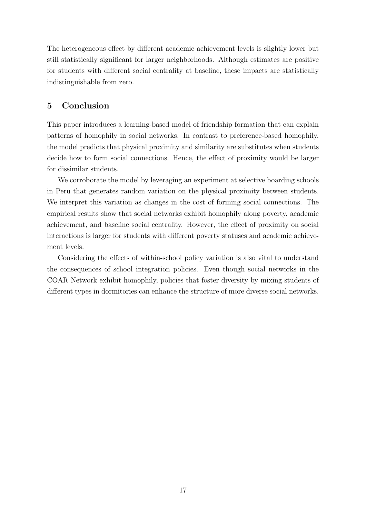The heterogeneous effect by different academic achievement levels is slightly lower but still statistically significant for larger neighborhoods. Although estimates are positive for students with different social centrality at baseline, these impacts are statistically indistinguishable from zero.

## 5 Conclusion

This paper introduces a learning-based model of friendship formation that can explain patterns of homophily in social networks. In contrast to preference-based homophily, the model predicts that physical proximity and similarity are substitutes when students decide how to form social connections. Hence, the effect of proximity would be larger for dissimilar students.

We corroborate the model by leveraging an experiment at selective boarding schools in Peru that generates random variation on the physical proximity between students. We interpret this variation as changes in the cost of forming social connections. The empirical results show that social networks exhibit homophily along poverty, academic achievement, and baseline social centrality. However, the effect of proximity on social interactions is larger for students with different poverty statuses and academic achievement levels.

Considering the effects of within-school policy variation is also vital to understand the consequences of school integration policies. Even though social networks in the COAR Network exhibit homophily, policies that foster diversity by mixing students of different types in dormitories can enhance the structure of more diverse social networks.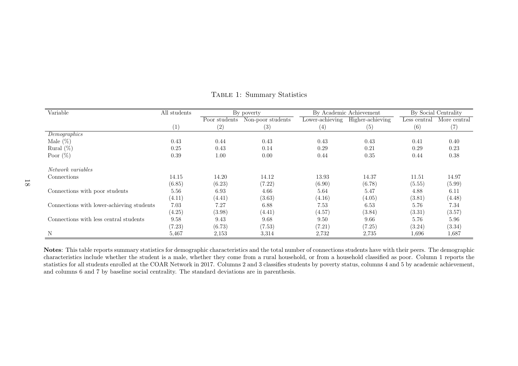| Variable                                  | All students | By poverty    |                   | By Academic Achievement |                  | By Social Centrality |              |
|-------------------------------------------|--------------|---------------|-------------------|-------------------------|------------------|----------------------|--------------|
|                                           |              | Poor students | Non-poor students | Lower-achieving         | Higher-achieving | Less central         | More central |
|                                           | (1)          | (2)           | (3)               | (4)                     | (5)              | (6)                  | (7)          |
| Demographics                              |              |               |                   |                         |                  |                      |              |
| Male $(\%)$                               | 0.43         | 0.44          | 0.43              | 0.43                    | 0.43             | 0.41                 | 0.40         |
| Rural $(\%)$                              | 0.25         | 0.43          | 0.14              | 0.29                    | 0.21             | 0.29                 | 0.23         |
| Poor $(\%)$                               | 0.39         | 1.00          | 0.00              | 0.44                    | 0.35             | 0.44                 | $0.38\,$     |
|                                           |              |               |                   |                         |                  |                      |              |
| Network variables                         |              |               |                   |                         |                  |                      |              |
| Connections                               | 14.15        | 14.20         | 14.12             | 13.93                   | 14.37            | 11.51                | 14.97        |
|                                           | (6.85)       | (6.23)        | (7.22)            | (6.90)                  | (6.78)           | (5.55)               | (5.99)       |
| Connections with poor students            | 5.56         | 6.93          | 4.66              | 5.64                    | 5.47             | 4.88                 | 6.11         |
|                                           | (4.11)       | (4.41)        | (3.63)            | (4.16)                  | (4.05)           | (3.81)               | (4.48)       |
| Connections with lower-achieving students | 7.03         | 7.27          | 6.88              | 7.53                    | 6.53             | 5.76                 | 7.34         |
|                                           | (4.25)       | (3.98)        | (4.41)            | (4.57)                  | (3.84)           | (3.31)               | (3.57)       |
| Connections with less central students    | 9.58         | 9.43          | 9.68              | 9.50                    | 9.66             | 5.76                 | 5.96         |
|                                           | (7.23)       | (6.73)        | (7.53)            | (7.21)                  | (7.25)           | (3.24)               | (3.34)       |
| N                                         | 5,467        | 2,153         | 3,314             | 2,732                   | 2,735            | 1,696                | 1,687        |

Table 1: Summary Statistics

<span id="page-18-0"></span>Notes: This table reports summary statistics for demographic characteristics and the total number of connections students have with their peers. The demographic characteristics include whether the student is <sup>a</sup> male, whether they come from <sup>a</sup> rural household, or from <sup>a</sup> household classified as poor. Column 1 reports the statistics for all students enrolled at the COAR Network in 2017. Columns 2 and 3 classifies students by poverty status, columns 4 and 5 by academic achievement,and columns 6 and 7 by baseline social centrality. The standard deviations are in parenthesis.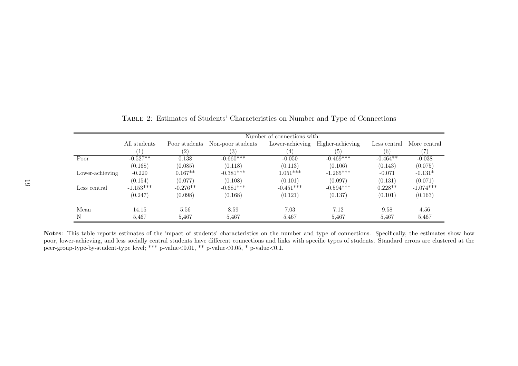|                 | Number of connections with: |                   |                   |                 |                  |              |              |
|-----------------|-----------------------------|-------------------|-------------------|-----------------|------------------|--------------|--------------|
|                 | All students                | Poor students     | Non-poor students | Lower-achieving | Higher-achieving | Less central | More central |
|                 | 1)                          | $\left( 2\right)$ | (3)               | (4)             | (5)              | (6)          |              |
| Poor            | $-0.527**$                  | 0.138             | $-0.660***$       | $-0.050$        | $-0.469***$      | $-0.464**$   | $-0.038$     |
|                 | (0.168)                     | (0.085)           | (0.118)           | (0.113)         | (0.106)          | (0.143)      | (0.075)      |
| Lower-achieving | $-0.220$                    | $0.167**$         | $-0.381***$       | $1.051***$      | $-1.265***$      | $-0.071$     | $-0.131*$    |
|                 | (0.154)                     | (0.077)           | (0.108)           | (0.101)         | (0.097)          | (0.131)      | (0.071)      |
| Less central    | $-1.153***$                 | $-0.276**$        | $-0.681***$       | $-0.451***$     | $-0.594***$      | $0.228**$    | $-1.074***$  |
|                 | (0.247)                     | (0.098)           | (0.168)           | (0.121)         | (0.137)          | (0.101)      | (0.163)      |
| Mean            | 14.15                       | 5.56              | 8.59              | 7.03            | 7.12             | 9.58         | 4.56         |
| N               | 5.467                       | 5,467             | 5,467             | 5.467           | 5,467            | 5.467        | 5,467        |

<span id="page-19-0"></span>Table 2: Estimates of Students' Characteristics on Number and Type of Connections

Notes: This table reports estimates of the impact of students' characteristics on the number and type of connections. Specifically, the estimates show how poor, lower-achieving, and less socially central students have different connections and links with specific types of students. Standard errors are clustered at thepeer-group-type-by-student-type level; \*\*\* p-value<0.01, \*\* p-value<0.05, \* p-value<0.1.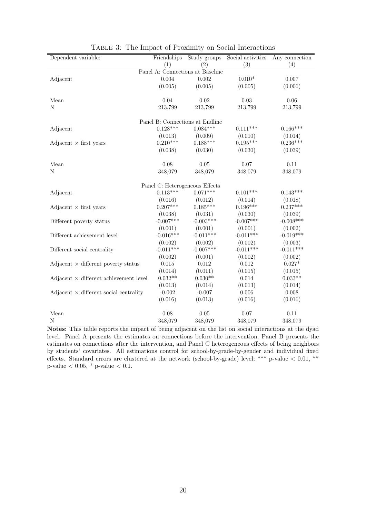<span id="page-20-0"></span>

| Dependent variable:                                         | Friendships                     | Study groups | Social activities | Any connection      |  |  |
|-------------------------------------------------------------|---------------------------------|--------------|-------------------|---------------------|--|--|
|                                                             | (1)                             | (2)          | (3)               | (4)                 |  |  |
| Panel A: Connections at Baseline                            |                                 |              |                   |                     |  |  |
| Adjacent                                                    | 0.004                           | 0.002        | $0.010*$          | 0.007               |  |  |
|                                                             | (0.005)                         | (0.005)      | (0.005)           | (0.006)             |  |  |
|                                                             |                                 |              |                   |                     |  |  |
| Mean                                                        | 0.04                            | 0.02         | 0.03              | 0.06                |  |  |
| N                                                           | 213,799                         | 213,799      | 213,799           | 213,799             |  |  |
|                                                             |                                 |              |                   |                     |  |  |
|                                                             | Panel B: Connections at Endline |              |                   |                     |  |  |
| Adjacent                                                    | $0.128***$                      | $0.084***$   | $0.111***$        | $0.166***$          |  |  |
|                                                             | (0.013)                         | (0.009)      | (0.010)           | (0.014)             |  |  |
| Adjacent $\times$ first years                               | $0.210***$                      | $0.188***$   | $0.195***$        | $0.236***$          |  |  |
|                                                             | (0.038)                         | (0.030)      | (0.030)           | (0.039)             |  |  |
|                                                             |                                 |              |                   |                     |  |  |
| Mean                                                        | 0.08                            | 0.05         | 0.07              | 0.11                |  |  |
| N                                                           | 348,079                         | 348,079      | 348,079           | 348,079             |  |  |
|                                                             |                                 |              |                   |                     |  |  |
|                                                             | Panel C: Heterogeneous Effects  |              |                   |                     |  |  |
| Adjacent                                                    | $0.113***$                      | $0.071***$   | $0.101***$        | $0.143***$          |  |  |
|                                                             | (0.016)                         | (0.012)      | (0.014)           | (0.018)             |  |  |
| Adjacent $\times$ first years                               | $0.207***$                      | $0.185***$   | $0.196***$        | $0.237***$          |  |  |
|                                                             | (0.038)                         | (0.031)      | (0.030)           | (0.039)             |  |  |
| Different poverty status                                    | $-0.007***$                     | $-0.003***$  | $-0.007***$       | $-0.008***$         |  |  |
|                                                             | (0.001)                         | (0.001)      | (0.001)           | (0.002)             |  |  |
| Different achievement level                                 | $-0.016***$                     | $-0.011***$  | $-0.011***$       | $-0.019***$         |  |  |
|                                                             | (0.002)                         | (0.002)      | (0.002)           | (0.003)             |  |  |
|                                                             | $-0.011***$                     | $-0.007***$  | $-0.011***$       | $-0.011***$         |  |  |
| Different social centrality                                 |                                 |              |                   |                     |  |  |
|                                                             | (0.002)                         | (0.001)      | (0.002)           | (0.002)<br>$0.027*$ |  |  |
| Adjacent $\times$ different poverty status                  | 0.015                           | 0.012        | 0.012             |                     |  |  |
|                                                             | (0.014)                         | (0.011)      | (0.015)           | (0.015)             |  |  |
| $\text{Adjacent} \times \text{different achievement level}$ | $0.032**$                       | $0.030**$    | 0.014             | $0.033**$           |  |  |
|                                                             | (0.013)                         | (0.014)      | (0.013)           | (0.014)             |  |  |
| Adjacent $\times$ different social centrality               | $-0.002$                        | $-0.007$     | 0.006             | 0.008               |  |  |
|                                                             | (0.016)                         | (0.013)      | (0.016)           | (0.016)             |  |  |
|                                                             |                                 |              |                   |                     |  |  |
| Mean                                                        | 0.08                            | 0.05         | 0.07              | 0.11                |  |  |
| Ν                                                           | 348,079                         | 348,079      | 348,079           | 348,079             |  |  |

|  | TABLE 3: The Impact of Proximity on Social Interactions |  |
|--|---------------------------------------------------------|--|
|  |                                                         |  |

Notes: This table reports the impact of being adjacent on the list on social interactions at the dyad level. Panel A presents the estimates on connections before the intervention, Panel B presents the estimates on connections after the intervention, and Panel C heterogeneous effects of being neighbors by students' covariates. All estimations control for school-by-grade-by-gender and individual fixed effects. Standard errors are clustered at the network (school-by-grade) level; \*\*\* p-value < 0.01, \*\* p-value  $< 0.05$ , \* p-value  $< 0.1$ .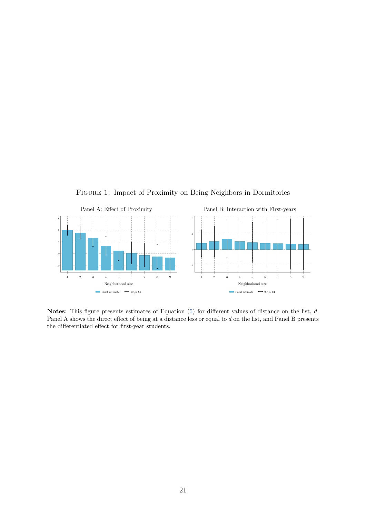<span id="page-21-0"></span>

Notes: This figure presents estimates of Equation [\(5\)](#page-14-2) for different values of distance on the list, d. Panel A shows the direct effect of being at a distance less or equal to d on the list, and Panel B presents the differentiated effect for first-year students.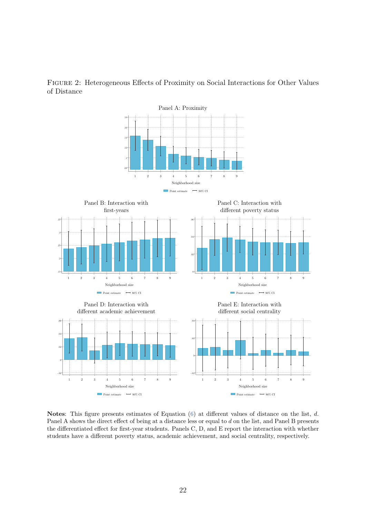

<span id="page-22-0"></span>Figure 2: Heterogeneous Effects of Proximity on Social Interactions for Other Values of Distance

Notes: This figure presents estimates of Equation  $(6)$  at different values of distance on the list, d. Panel A shows the direct effect of being at a distance less or equal to d on the list, and Panel B presents the differentiated effect for first-year students. Panels C, D, and E report the interaction with whether students have a different poverty status, academic achievement, and social centrality, respectively.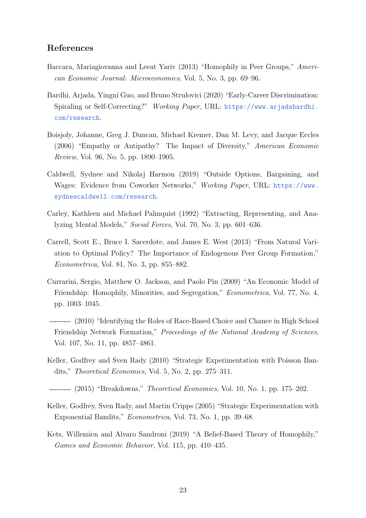#### References

- <span id="page-23-7"></span>Baccara, Mariagiovanna and Leeat Yariv (2013) "Homophily in Peer Groups," American Economic Journal: Microeconomics, Vol. 5, No. 3, pp. 69–96.
- <span id="page-23-8"></span>Bardhi, Arjada, Yingni Guo, and Bruno Strulovici (2020) "Early-Career Discrimination: Spiraling or Self-Correcting?" Working Paper, URL: [https://www.arjadabardhi.](https://www.arjadabardhi.com/research) [com/research](https://www.arjadabardhi.com/research).
- <span id="page-23-5"></span>Boisjoly, Johanne, Greg J. Duncan, Michael Kremer, Dan M. Levy, and Jacque Eccles (2006) "Empathy or Antipathy? The Impact of Diversity," American Economic Review, Vol. 96, No. 5, pp. 1890–1905.
- <span id="page-23-0"></span>Caldwell, Sydnee and Nikolaj Harmon (2019) "Outside Options, Bargaining, and Wages: Evidence from Coworker Networks," Working Paper, URL: [https://www.](https://www.sydneecaldwell.com/research) [sydneecaldwell.com/research](https://www.sydneecaldwell.com/research).
- <span id="page-23-11"></span>Carley, Kathleen and Michael Palmquist (1992) "Extracting, Representing, and Analyzing Mental Models," Social Forces, Vol. 70, No. 3, pp. 601–636.
- <span id="page-23-2"></span>Carrell, Scott E., Bruce I. Sacerdote, and James E. West (2013) "From Natural Variation to Optimal Policy? The Importance of Endogenous Peer Group Formation," Econometrica, Vol. 81, No. 3, pp. 855–882.
- <span id="page-23-1"></span>Currarini, Sergio, Matthew O. Jackson, and Paolo Pin (2009) "An Economic Model of Friendship: Homophily, Minorities, and Segregation," Econometrica, Vol. 77, No. 4, pp. 1003–1045.
- <span id="page-23-4"></span>(2010) "Identifying the Roles of Race-Based Choice and Chance in High School Friendship Network Formation," Proceedings of the National Academy of Sciences, Vol. 107, No. 11, pp. 4857–4861.
- <span id="page-23-9"></span>Keller, Godfrey and Sven Rady (2010) "Strategic Experimentation with Poisson Bandits," Theoretical Economics, Vol. 5, No. 2, pp. 275–311.
- <span id="page-23-10"></span> $(2015)$  "Breakdowns," *Theoretical Economics*, Vol. 10, No. 1, pp. 175–202.
- <span id="page-23-3"></span>Keller, Godfrey, Sven Rady, and Martin Cripps (2005) "Strategic Experimentation with Exponential Bandits," Econometrica, Vol. 73, No. 1, pp. 39–68.
- <span id="page-23-6"></span>Kets, Willemien and Alvaro Sandroni (2019) "A Belief-Based Theory of Homophily," Games and Economic Behavior, Vol. 115, pp. 410–435.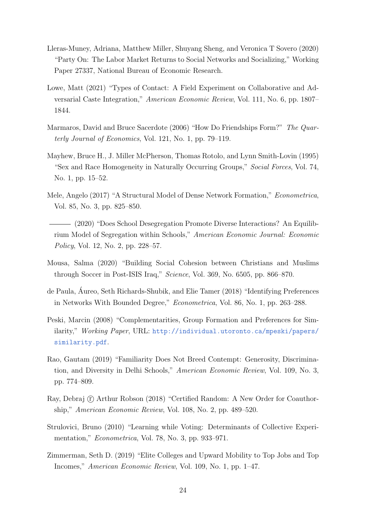- <span id="page-24-1"></span>Lleras-Muney, Adriana, Matthew Miller, Shuyang Sheng, and Veronica T Sovero (2020) "Party On: The Labor Market Returns to Social Networks and Socializing," Working Paper 27337, National Bureau of Economic Research.
- <span id="page-24-8"></span>Lowe, Matt (2021) "Types of Contact: A Field Experiment on Collaborative and Adversarial Caste Integration," American Economic Review, Vol. 111, No. 6, pp. 1807– 1844.
- <span id="page-24-3"></span>Marmaros, David and Bruce Sacerdote (2006) "How Do Friendships Form?" The Quarterly Journal of Economics, Vol. 121, No. 1, pp. 79–119.
- <span id="page-24-12"></span>Mayhew, Bruce H., J. Miller McPherson, Thomas Rotolo, and Lynn Smith-Lovin (1995) "Sex and Race Homogeneity in Naturally Occurring Groups," Social Forces, Vol. 74, No. 1, pp. 15–52.
- <span id="page-24-6"></span>Mele, Angelo (2017) "A Structural Model of Dense Network Formation," Econometrica, Vol. 85, No. 3, pp. 825–850.
- <span id="page-24-4"></span>(2020) "Does School Desegregation Promote Diverse Interactions? An Equilibrium Model of Segregation within Schools," American Economic Journal: Economic Policy, Vol. 12, No. 2, pp. 228–57.
- <span id="page-24-9"></span>Mousa, Salma (2020) "Building Social Cohesion between Christians and Muslims through Soccer in Post-ISIS Iraq," Science, Vol. 369, No. 6505, pp. 866–870.
- <span id="page-24-7"></span>de Paula, Aureo, Seth Richards-Shubik, and Elie Tamer (2018) "Identifying Preferences ´ in Networks With Bounded Degree," Econometrica, Vol. 86, No. 1, pp. 263–288.
- <span id="page-24-10"></span>Peski, Marcin (2008) "Complementarities, Group Formation and Preferences for Similarity," Working Paper, URL: [http://individual.utoronto.ca/mpeski/papers/](http://individual.utoronto.ca/mpeski/papers/similarity.pdf) [similarity.pdf](http://individual.utoronto.ca/mpeski/papers/similarity.pdf).
- <span id="page-24-5"></span>Rao, Gautam (2019) "Familiarity Does Not Breed Contempt: Generosity, Discrimination, and Diversity in Delhi Schools," American Economic Review, Vol. 109, No. 3, pp. 774–809.
- <span id="page-24-0"></span>Ray, Debraj  $\Gamma$  Arthur Robson (2018) "Certified Random: A New Order for Coauthorship," American Economic Review, Vol. 108, No. 2, pp. 489–520.
- <span id="page-24-11"></span>Strulovici, Bruno (2010) "Learning while Voting: Determinants of Collective Experimentation," Econometrica, Vol. 78, No. 3, pp. 933–971.
- <span id="page-24-2"></span>Zimmerman, Seth D. (2019) "Elite Colleges and Upward Mobility to Top Jobs and Top Incomes," American Economic Review, Vol. 109, No. 1, pp. 1–47.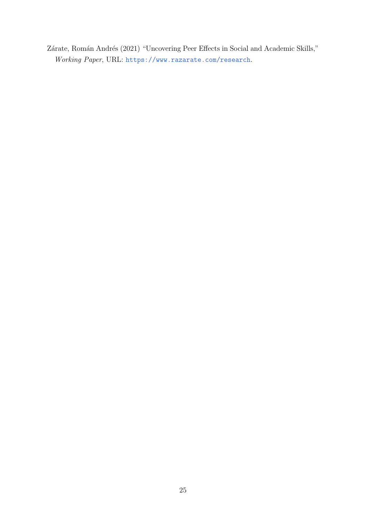<span id="page-25-0"></span>Zárate, Román Andrés (2021) "Uncovering Peer Effects in Social and Academic Skills," Working Paper, URL: <https://www.razarate.com/research>.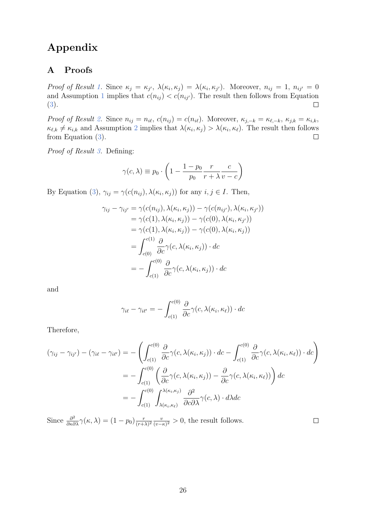## Appendix

## A Proofs

Proof of Result [1.](#page-8-0) Since  $\kappa_j = \kappa_{j'}$ ,  $\lambda(\kappa_i, \kappa_j) = \lambda(\kappa_i, \kappa_{j'})$ . Moreover,  $n_{ij} = 1$ ,  $n_{ij'} = 0$ and Assumption [1](#page-5-0) implies that  $c(n_{ij}) < c(n_{ij})$ . The result then follows from Equation [\(3\)](#page-7-3).  $\Box$ 

Proof of Result [2.](#page-8-1) Since  $n_{ij} = n_{i\ell}$ ,  $c(n_{ij}) = c(n_{i\ell})$ . Moreover,  $\kappa_{j,-k} = \kappa_{\ell,-k}$ ,  $\kappa_{j,k} = \kappa_{i,k}$ ,  $\kappa_{\ell,k} \neq \kappa_{i,k}$  and Assumption [2](#page-6-0) implies that  $\lambda(\kappa_i, \kappa_j) > \lambda(\kappa_i, \kappa_\ell)$ . The result then follows from Equation [\(3\)](#page-7-3).  $\Box$ 

Proof of Result [3.](#page-8-2) Defining:

$$
\gamma(c,\lambda) \equiv p_0 \cdot \left(1 - \frac{1 - p_0}{p_0} \frac{r}{r + \lambda} \frac{c}{v - c}\right)
$$

By Equation [\(3\)](#page-7-3),  $\gamma_{ij} = \gamma(c(n_{ij}), \lambda(\kappa_i, \kappa_j))$  for any  $i, j \in I$ . Then,

$$
\gamma_{ij} - \gamma_{ij'} = \gamma(c(n_{ij}), \lambda(\kappa_i, \kappa_j)) - \gamma(c(n_{ij'}), \lambda(\kappa_i, \kappa_{j'}))
$$
  
\n
$$
= \gamma(c(1), \lambda(\kappa_i, \kappa_j)) - \gamma(c(0), \lambda(\kappa_i, \kappa_{j'}))
$$
  
\n
$$
= \gamma(c(1), \lambda(\kappa_i, \kappa_j)) - \gamma(c(0), \lambda(\kappa_i, \kappa_j))
$$
  
\n
$$
= \int_{c(0)}^{c(1)} \frac{\partial}{\partial c} \gamma(c, \lambda(\kappa_i, \kappa_j)) \cdot dc
$$
  
\n
$$
= - \int_{c(1)}^{c(0)} \frac{\partial}{\partial c} \gamma(c, \lambda(\kappa_i, \kappa_j)) \cdot dc
$$

and

$$
\gamma_{i\ell} - \gamma_{i\ell'} = -\int_{c(1)}^{c(0)} \frac{\partial}{\partial c} \gamma(c, \lambda(\kappa_i, \kappa_{\ell})) \cdot dc
$$

Therefore,

$$
(\gamma_{ij} - \gamma_{ij'}) - (\gamma_{i\ell} - \gamma_{i\ell'}) = -\left(\int_{c(1)}^{c(0)} \frac{\partial}{\partial c} \gamma(c, \lambda(\kappa_i, \kappa_j)) \cdot dc - \int_{c(1)}^{c(0)} \frac{\partial}{\partial c} \gamma(c, \lambda(\kappa_i, \kappa_{\ell})) \cdot dc\right)
$$

$$
= -\int_{c(1)}^{c(0)} \left(\frac{\partial}{\partial c} \gamma(c, \lambda(\kappa_i, \kappa_j)) - \frac{\partial}{\partial c} \gamma(c, \lambda(\kappa_i, \kappa_{\ell}))\right) dc
$$

$$
= -\int_{c(1)}^{c(0)} \int_{\lambda(\kappa_i, \kappa_{\ell})}^{\lambda(\kappa_i, \kappa_j)} \frac{\partial^2}{\partial c \partial \lambda} \gamma(c, \lambda) \cdot d\lambda dc
$$

Since  $\frac{\partial^2}{\partial \kappa \partial \lambda} \gamma(\kappa, \lambda) = (1 - p_0) \frac{r}{(r + \lambda)}$  $\frac{r}{(r+\lambda)^2} \frac{v}{(v-\lambda)}$  $\frac{v}{(v-\kappa)^2} > 0$ , the result follows.

 $\Box$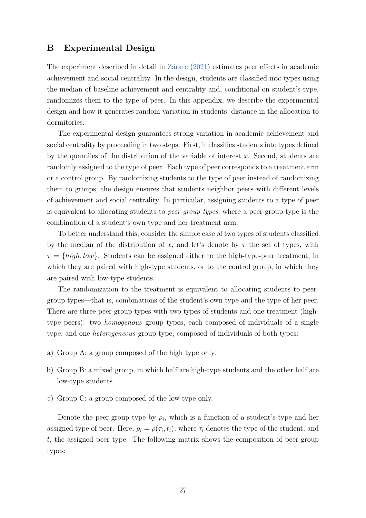#### <span id="page-27-0"></span>B Experimental Design

The experiment described in detail in  $Z\acute{a}$ rate [\(2021\)](#page-25-0) estimates peer effects in academic achievement and social centrality. In the design, students are classified into types using the median of baseline achievement and centrality and, conditional on student's type, randomizes them to the type of peer. In this appendix, we describe the experimental design and how it generates random variation in students' distance in the allocation to dormitories.

The experimental design guarantees strong variation in academic achievement and social centrality by proceeding in two steps. First, it classifies students into types defined by the quantiles of the distribution of the variable of interest  $x$ . Second, students are randomly assigned to the type of peer. Each type of peer corresponds to a treatment arm or a control group. By randomizing students to the type of peer instead of randomizing them to groups, the design ensures that students neighbor peers with different levels of achievement and social centrality. In particular, assigning students to a type of peer is equivalent to allocating students to peer-group types, where a peer-group type is the combination of a student's own type and her treatment arm.

To better understand this, consider the simple case of two types of students classified by the median of the distribution of x, and let's denote by  $\tau$  the set of types, with  $\tau = \{high, low\}$ . Students can be assigned either to the high-type-peer treatment, in which they are paired with high-type students, or to the control group, in which they are paired with low-type students.

The randomization to the treatment is equivalent to allocating students to peergroup types—that is, combinations of the student's own type and the type of her peer. There are three peer-group types with two types of students and one treatment (hightype peers): two homogenous group types, each composed of individuals of a single type, and one heterogeneous group type, composed of individuals of both types:

- a) Group A: a group composed of the high type only.
- b) Group B: a mixed group, in which half are high-type students and the other half are low-type students.
- c) Group C: a group composed of the low type only.

Denote the peer-group type by  $\rho_i$ , which is a function of a student's type and her assigned type of peer. Here,  $\rho_i = \rho(\tau_i, t_i)$ , where  $\tau_i$  denotes the type of the student, and  $t_i$  the assigned peer type. The following matrix shows the composition of peer-group types: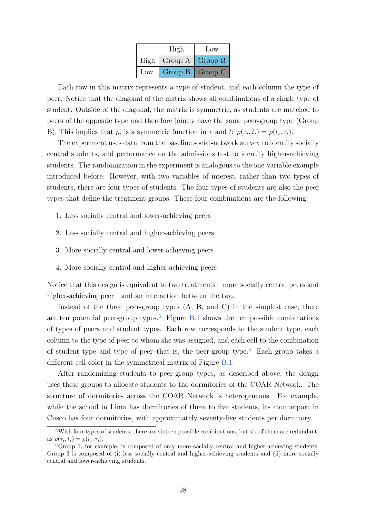|      | High    | Low     |  |
|------|---------|---------|--|
| High | Group A | Group B |  |
| Low  | Group B | Group C |  |

Each row in this matrix represents a type of student, and each column the type of peer. Notice that the diagonal of the matrix shows all combinations of a single type of student. Outside of the diagonal, the matrix is symmetric, as students are matched to peers of the opposite type and therefore jointly have the same peer-group type (Group B). This implies that  $\rho_i$  is a symmetric function in  $\tau$  and  $t$ :  $\rho(\tau_i, t_i) = \rho(t_i, \tau_i)$ .

The experiment uses data from the baseline social-network survey to identify socially central students, and performance on the admissions test to identify higher-achieving students. The randomization in the experiment is analogous to the one-variable example introduced before. However, with two variables of interest, rather than two types of students, there are four types of students. The four types of students are also the peer types that define the treatment groups. These four combinations are the following:

- 1. Less socially central and lower-achieving peers
- 2. Less socially central and higher-achieving peers
- 3. More socially central and lower-achieving peers
- 4. More socially central and higher-achieving peers

Notice that this design is equivalent to two treatments—more socially central peers and higher-achieving peer—and an interaction between the two.

Instead of the three peer-group types (A, B, and C) in the simplest case, there are ten potential peer-group types.<sup>[5](#page-28-0)</sup> Figure  $B.1$  shows the ten possible combinations of types of peers and student types. Each row corresponds to the student type, each column to the type of peer to whom she was assigned, and each cell to the combination of student type and type of peer-that is, the peer-group type.<sup>[6](#page-28-1)</sup> Each group takes a different cell color in the symmetrical matrix of Figure [B.1.](#page-29-0)

After randomizing students to peer-group types, as described above, the design uses these groups to allocate students to the dormitories of the COAR Network. The structure of dormitories across the COAR Network is heterogeneous. For example, while the school in Lima has dormitories of three to five students, its counterpart in Cusco has four dormitories, with approximately seventy-five students per dormitory.

<span id="page-28-0"></span><sup>5</sup>With four types of students, there are sixteen possible combinations, but six of them are redundant, as  $\rho(\tau_i, t_i) = \rho(t_i, \tau_i)$ .

<span id="page-28-1"></span><sup>6</sup>Group 1, for example, is composed of only more socially central and higher-achieving students. Group 3 is composed of (i) less socially central and higher-achieving students and (ii) more socially central and lower-achieving students.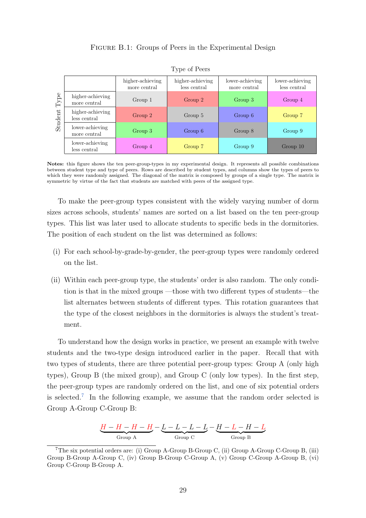#### FIGURE B.1: Groups of Peers in the Experimental Design

<span id="page-29-0"></span>

|                         |                                  | higher-achieving<br>more central | higher-achieving<br>less central | lower-achieving<br>more central | lower-achieving<br>less central |
|-------------------------|----------------------------------|----------------------------------|----------------------------------|---------------------------------|---------------------------------|
| ${\rm Type}$<br>Student | higher-achieving<br>more central | Group 1                          | Group 2                          | Group 3                         | Group 4                         |
|                         | higher-achieving<br>less central | Group 2                          | Group 5                          | Group 6                         | Group 7                         |
|                         | lower-achieving<br>more central  | Group 3                          | Group 6                          | Group 8                         | Group 9                         |
|                         | lower-achieving<br>less central  | Group 4                          | Group 7                          | Group 9                         | Group 10                        |

Type of Peers

Notes: this figure shows the ten peer-group-types in my experimental design. It represents all possible combinations between student type and type of peers. Rows are described by student types, and columns show the types of peers to which they were randomly assigned. The diagonal of the matrix is composed by groups of a single type. The matrix is symmetric by virtue of the fact that students are matched with peers of the assigned type.

To make the peer-group types consistent with the widely varying number of dorm sizes across schools, students' names are sorted on a list based on the ten peer-group types. This list was later used to allocate students to specific beds in the dormitories. The position of each student on the list was determined as follows:

- (i) For each school-by-grade-by-gender, the peer-group types were randomly ordered on the list.
- (ii) Within each peer-group type, the students' order is also random. The only condition is that in the mixed groups —those with two different types of students—the list alternates between students of different types. This rotation guarantees that the type of the closest neighbors in the dormitories is always the student's treatment.

To understand how the design works in practice, we present an example with twelve students and the two-type design introduced earlier in the paper. Recall that with two types of students, there are three potential peer-group types: Group A (only high types), Group B (the mixed group), and Group C (only low types). In the first step, the peer-group types are randomly ordered on the list, and one of six potential orders is selected.[7](#page-29-1) In the following example, we assume that the random order selected is Group A-Group C-Group B:

$$
\underbrace{H-H-H-H}_{\rm Group\ A}-\underbrace{L-L-L-L-H-H-H-L}_{\rm Group\ C}
$$

<span id="page-29-1"></span><sup>7</sup>The six potential orders are: (i) Group A-Group B-Group C, (ii) Group A-Group C-Group B, (iii) Group B-Group A-Group C, (iv) Group B-Group C-Group A, (v) Group C-Group A-Group B, (vi) Group C-Group B-Group A.